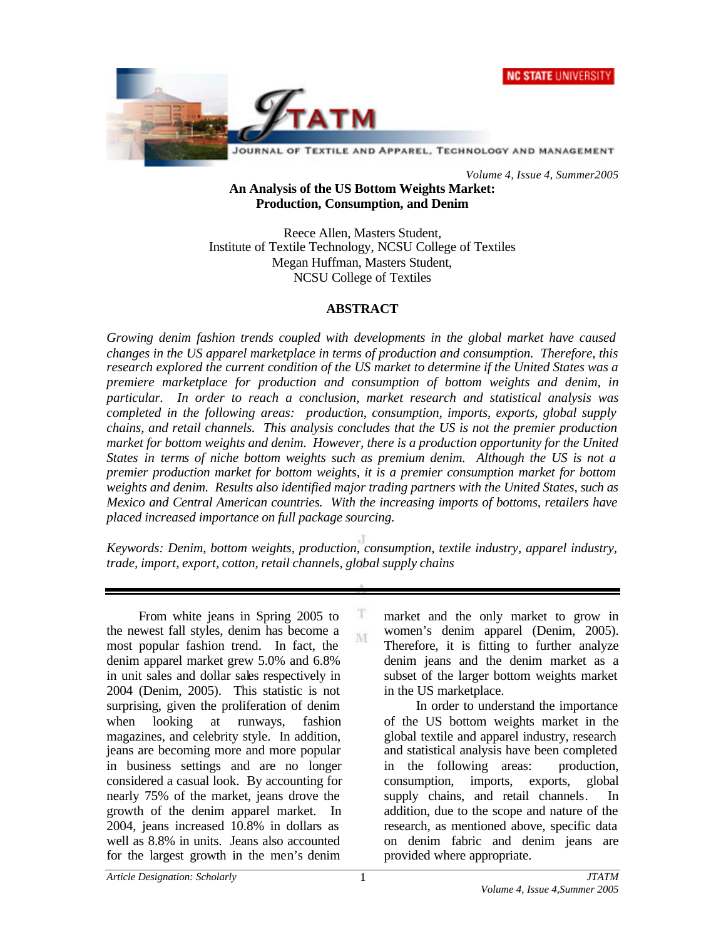



*Volume 4, Issue 4, Summer2005*

#### **An Analysis of the US Bottom Weights Market: Production, Consumption, and Denim**

Reece Allen, Masters Student, Institute of Textile Technology, NCSU College of Textiles Megan Huffman, Masters Student, NCSU College of Textiles

#### **ABSTRACT**

*Growing denim fashion trends coupled with developments in the global market have caused changes in the US apparel marketplace in terms of production and consumption. Therefore, this research explored the current condition of the US market to determine if the United States was a premiere marketplace for production and consumption of bottom weights and denim, in particular. In order to reach a conclusion, market research and statistical analysis was completed in the following areas: production, consumption, imports, exports, global supply chains, and retail channels. This analysis concludes that the US is not the premier production market for bottom weights and denim. However, there is a production opportunity for the United States in terms of niche bottom weights such as premium denim. Although the US is not a premier production market for bottom weights, it is a premier consumption market for bottom weights and denim. Results also identified major trading partners with the United States, such as Mexico and Central American countries. With the increasing imports of bottoms, retailers have placed increased importance on full package sourcing.*

*Keywords: Denim, bottom weights, production, consumption, textile industry, apparel industry, trade, import, export, cotton, retail channels, global supply chains*

> T M

From white jeans in Spring 2005 to the newest fall styles, denim has become a most popular fashion trend. In fact, the denim apparel market grew 5.0% and 6.8% in unit sales and dollar sales respectively in 2004 (Denim, 2005). This statistic is not surprising, given the proliferation of denim when looking at runways, fashion magazines, and celebrity style. In addition, jeans are becoming more and more popular in business settings and are no longer considered a casual look. By accounting for nearly 75% of the market, jeans drove the growth of the denim apparel market. In 2004, jeans increased 10.8% in dollars as well as 8.8% in units. Jeans also accounted for the largest growth in the men's denim

market and the only market to grow in women's denim apparel (Denim, 2005). Therefore, it is fitting to further analyze denim jeans and the denim market as a subset of the larger bottom weights market in the US marketplace.

In order to understand the importance of the US bottom weights market in the global textile and apparel industry, research and statistical analysis have been completed in the following areas: production, consumption, imports, exports, global supply chains, and retail channels. In addition, due to the scope and nature of the research, as mentioned above, specific data on denim fabric and denim jeans are provided where appropriate.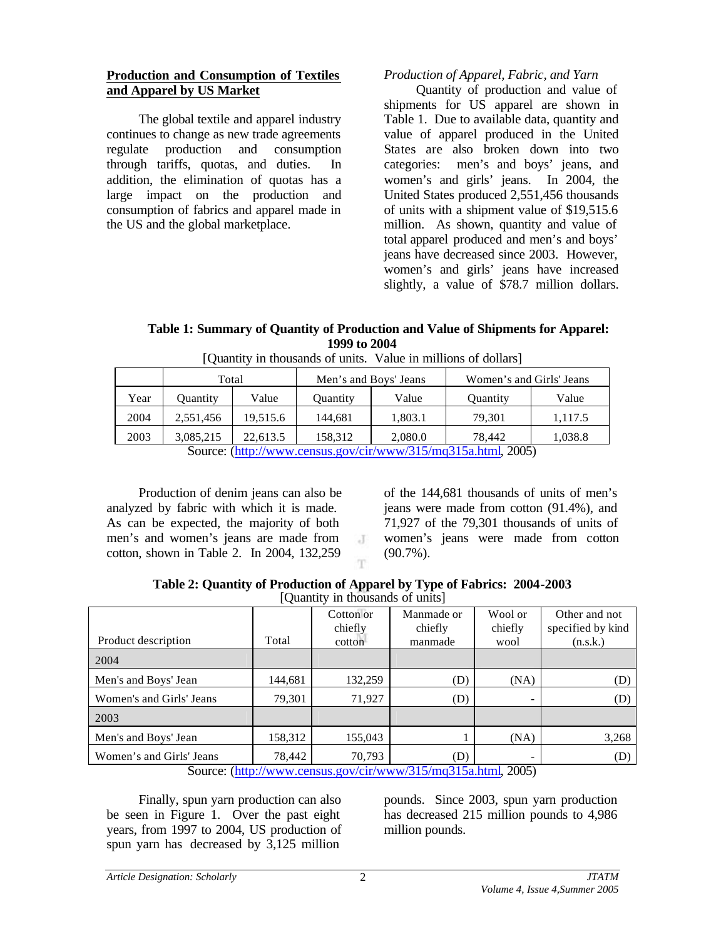#### **Production and Consumption of Textiles and Apparel by US Market**

The global textile and apparel industry continues to change as new trade agreements regulate production and consumption through tariffs, quotas, and duties. In addition, the elimination of quotas has a large impact on the production and consumption of fabrics and apparel made in the US and the global marketplace.

## *Production of Apparel, Fabric, and Yarn*

Quantity of production and value of shipments for US apparel are shown in Table 1. Due to available data, quantity and value of apparel produced in the United States are also broken down into two categories: men's and boys' jeans, and women's and girls' jeans. In 2004, the United States produced 2,551,456 thousands of units with a shipment value of \$19,515.6 million. As shown, quantity and value of total apparel produced and men's and boys' jeans have decreased since 2003. However, women's and girls' jeans have increased slightly, a value of \$78.7 million dollars.

## **Table 1: Summary of Quantity of Production and Value of Shipments for Apparel: 1999 to 2004**

|                                                                        | Total           |          | Men's and Boys' Jeans |         | Women's and Girls' Jeans |         |
|------------------------------------------------------------------------|-----------------|----------|-----------------------|---------|--------------------------|---------|
| Year                                                                   | <b>Ouantity</b> | Value    | <b>Quantity</b>       | Value   | Quantity                 | Value   |
| 2004                                                                   | 2,551,456       | 19.515.6 | 144,681               | 1,803.1 | 79,301                   | 1,117.5 |
| 2003                                                                   | 3,085,215       | 22.613.5 | 158,312               | 2,080.0 | 78.442                   | 1,038.8 |
| Source: $\frac{http://www.census.gov/cir/www/315/mq315a.html}{0.2005}$ |                 |          |                       |         |                          |         |

[Quantity in thousands of units. Value in millions of dollars]

Source: (http://www.census.gov/cir/www/315/mq315a.html, 2005)

Production of denim jeans can also be analyzed by fabric with which it is made. As can be expected, the majority of both men's and women's jeans are made from cotton, shown in Table 2. In 2004, 132,259

of the 144,681 thousands of units of men's jeans were made from cotton (91.4%), and 71,927 of the 79,301 thousands of units of women's jeans were made from cotton (90.7%).

**Table 2: Quantity of Production of Apparel by Type of Fabrics: 2004-2003** [Quantity in thousands of units]

 $\cdot$ T

|                                                               |         | Cotton or<br>chiefly | Manmade or<br>chiefly | Wool or<br>chiefly       | Other and not<br>specified by kind |  |
|---------------------------------------------------------------|---------|----------------------|-----------------------|--------------------------|------------------------------------|--|
| Product description                                           | Total   | cotton               | manmade               | wool                     | (n.s.k.)                           |  |
| 2004                                                          |         |                      |                       |                          |                                    |  |
| Men's and Boys' Jean                                          | 144,681 | 132,259              | (D)                   | (NA)                     | (D)                                |  |
| Women's and Girls' Jeans                                      | 79,301  | 71,927               | (D)                   | $\overline{\phantom{a}}$ | (D)                                |  |
| 2003                                                          |         |                      |                       |                          |                                    |  |
| Men's and Boys' Jean                                          | 158,312 | 155,043              |                       | (NA)                     | 3,268                              |  |
| Women's and Girls' Jeans                                      | 78,442  | 70,793               | (D)                   | -                        | (D)                                |  |
| Source: (http://www.census.gov/cir/www/315/mq315a.html, 2005) |         |                      |                       |                          |                                    |  |

Finally, spun yarn production can also be seen in Figure 1. Over the past eight years, from 1997 to 2004, US production of spun yarn has decreased by 3,125 million

pounds. Since 2003, spun yarn production has decreased 215 million pounds to 4,986 million pounds.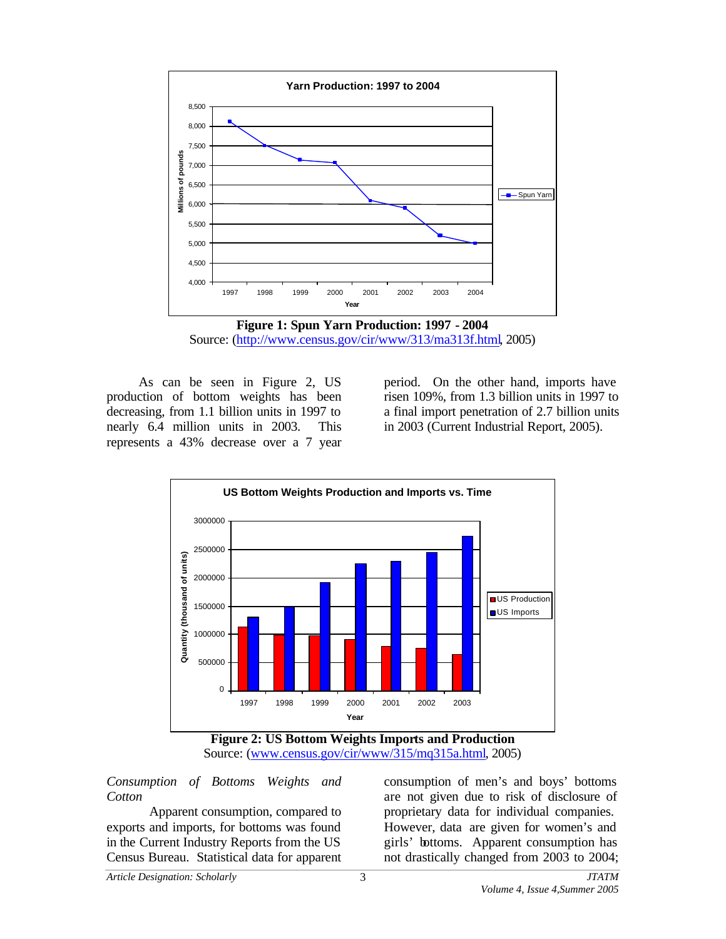

**Figure 1: Spun Yarn Production: 1997 - 2004** Source: (http://www.census.gov/cir/www/313/ma313f.html, 2005)

As can be seen in Figure 2, US production of bottom weights has been decreasing, from 1.1 billion units in 1997 to nearly 6.4 million units in 2003. This represents a 43% decrease over a 7 year

period. On the other hand, imports have risen 109%, from 1.3 billion units in 1997 to a final import penetration of 2.7 billion units in 2003 (Current Industrial Report, 2005).



**Figure 2: US Bottom Weights Imports and Production** Source: (www.census.gov/cir/www/315/mq315a.html, 2005)

*Consumption of Bottoms Weights and Cotton*

Apparent consumption, compared to exports and imports, for bottoms was found in the Current Industry Reports from the US Census Bureau. Statistical data for apparent

consumption of men's and boys' bottoms are not given due to risk of disclosure of proprietary data for individual companies. However, data are given for women's and girls' bottoms. Apparent consumption has not drastically changed from 2003 to 2004;

*Article Designation: Scholarly JTATM*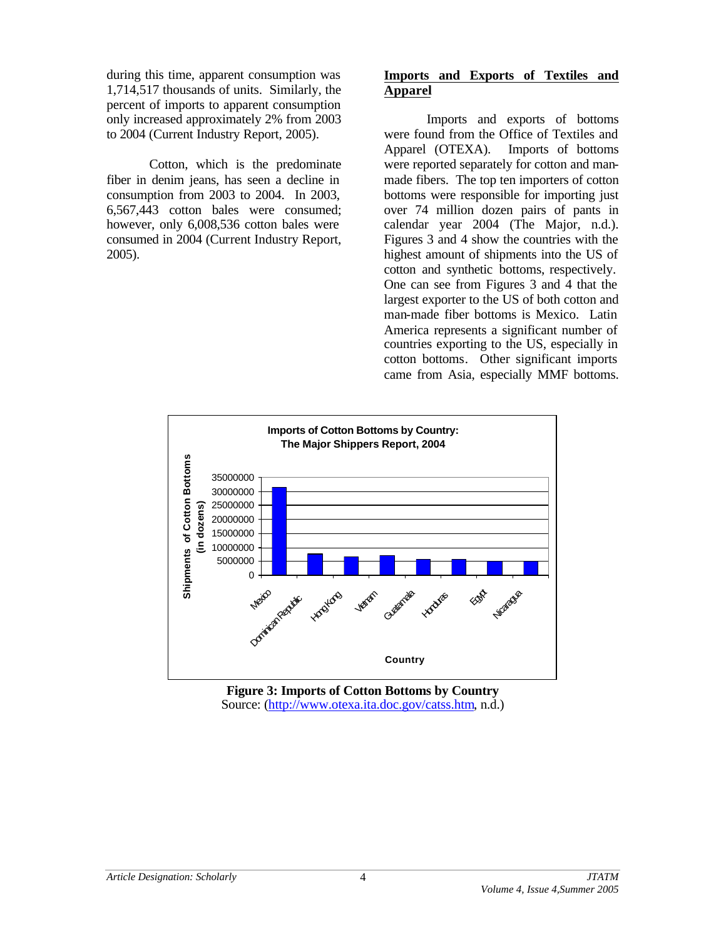during this time, apparent consumption was 1,714,517 thousands of units. Similarly, the percent of imports to apparent consumption only increased approximately 2% from 2003 to 2004 (Current Industry Report, 2005).

Cotton, which is the predominate fiber in denim jeans, has seen a decline in consumption from 2003 to 2004. In 2003, 6,567,443 cotton bales were consumed; however, only 6,008,536 cotton bales were consumed in 2004 (Current Industry Report, 2005).

#### **Imports and Exports of Textiles and Apparel**

Imports and exports of bottoms were found from the Office of Textiles and Apparel (OTEXA). Imports of bottoms were reported separately for cotton and manmade fibers. The top ten importers of cotton bottoms were responsible for importing just over 74 million dozen pairs of pants in calendar year 2004 (The Major, n.d.). Figures 3 and 4 show the countries with the highest amount of shipments into the US of cotton and synthetic bottoms, respectively. One can see from Figures 3 and 4 that the largest exporter to the US of both cotton and man-made fiber bottoms is Mexico. Latin America represents a significant number of countries exporting to the US, especially in cotton bottoms. Other significant imports came from Asia, especially MMF bottoms.



**Figure 3: Imports of Cotton Bottoms by Country** Source: (http://www.otexa.ita.doc.gov/catss.htm, n.d.)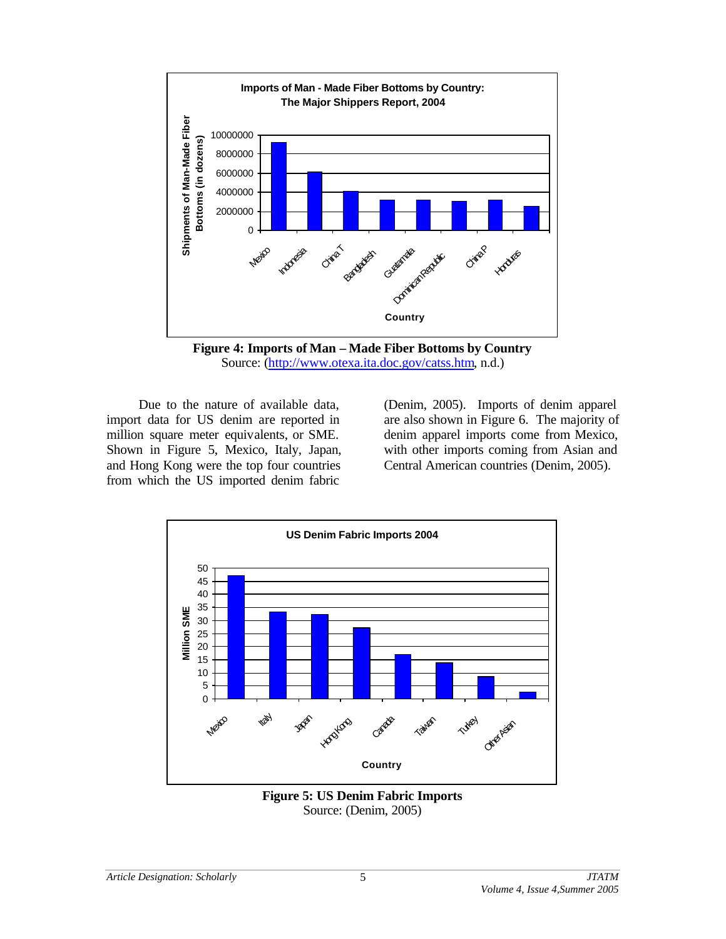

**Figure 4: Imports of Man – Made Fiber Bottoms by Country** Source: (http://www.otexa.ita.doc.gov/catss.htm, n.d.)

Due to the nature of available data, import data for US denim are reported in million square meter equivalents, or SME. Shown in Figure 5, Mexico, Italy, Japan, and Hong Kong were the top four countries from which the US imported denim fabric

(Denim, 2005). Imports of denim apparel are also shown in Figure 6. The majority of denim apparel imports come from Mexico, with other imports coming from Asian and Central American countries (Denim, 2005).



**Figure 5: US Denim Fabric Imports** Source: (Denim, 2005)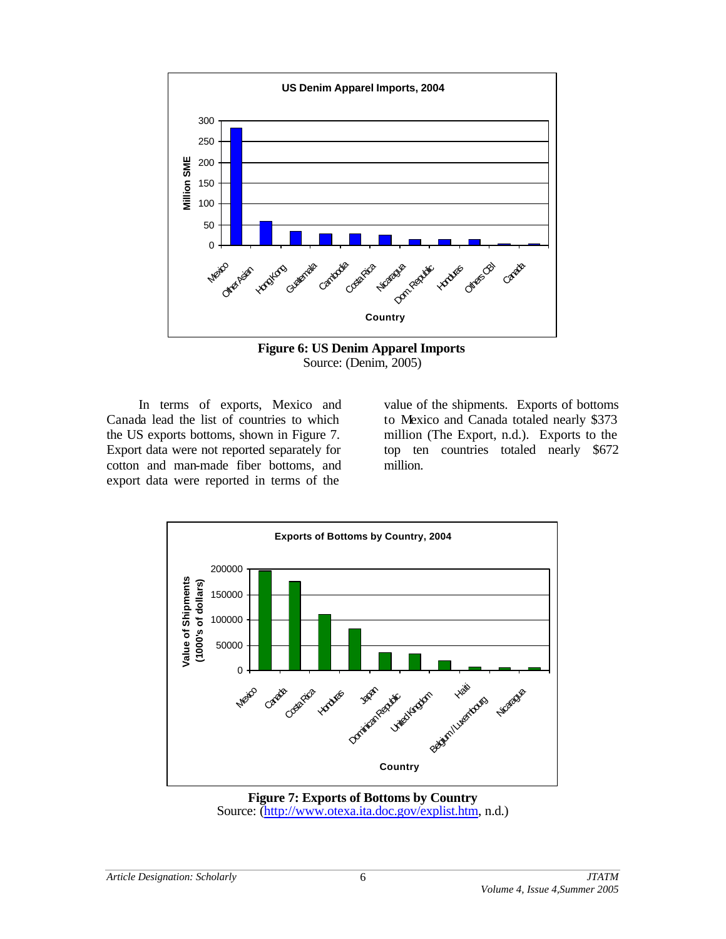

**Figure 6: US Denim Apparel Imports** Source: (Denim, 2005)

In terms of exports, Mexico and Canada lead the list of countries to which the US exports bottoms, shown in Figure 7. Export data were not reported separately for cotton and man-made fiber bottoms, and export data were reported in terms of the

value of the shipments. Exports of bottoms to Mexico and Canada totaled nearly \$373 million (The Export, n.d.). Exports to the top ten countries totaled nearly \$672 million.



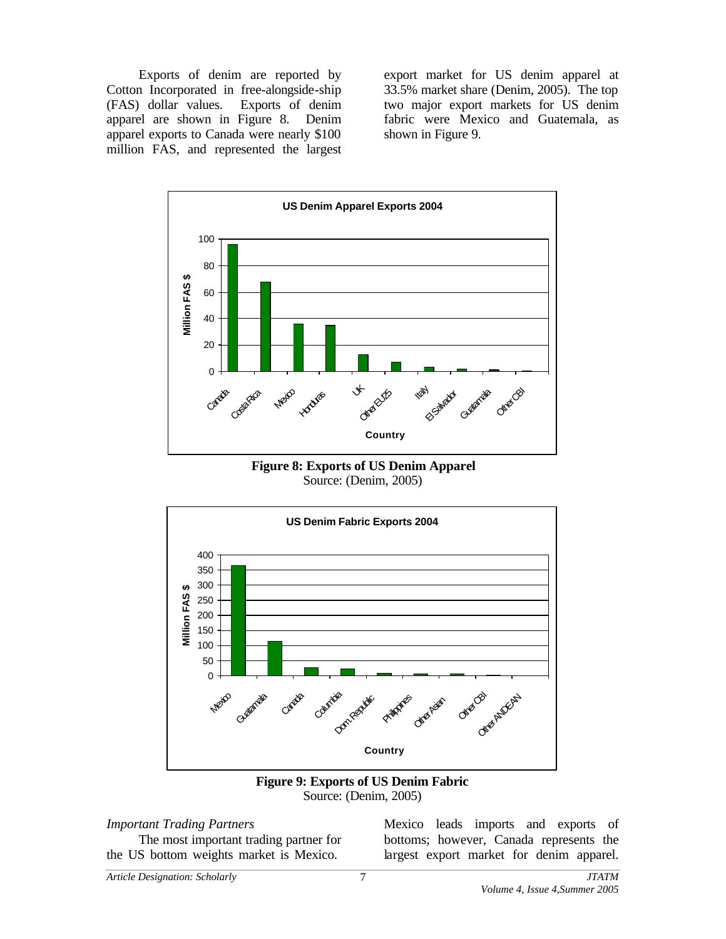Exports of denim are reported by Cotton Incorporated in free-alongside-ship (FAS) dollar values. Exports of denim apparel are shown in Figure 8. Denim apparel exports to Canada were nearly \$100 million FAS, and represented the largest

export market for US denim apparel at 33.5% market share (Denim, 2005). The top two major export markets for US denim fabric were Mexico and Guatemala, as shown in Figure 9.



**Figure 8: Exports of US Denim Apparel** Source: (Denim, 2005)



**Figure 9: Exports of US Denim Fabric** Source: (Denim, 2005)

#### *Important Trading Partners*

The most important trading partner for the US bottom weights market is Mexico.

Mexico leads imports and exports of bottoms; however, Canada represents the largest export market for denim apparel.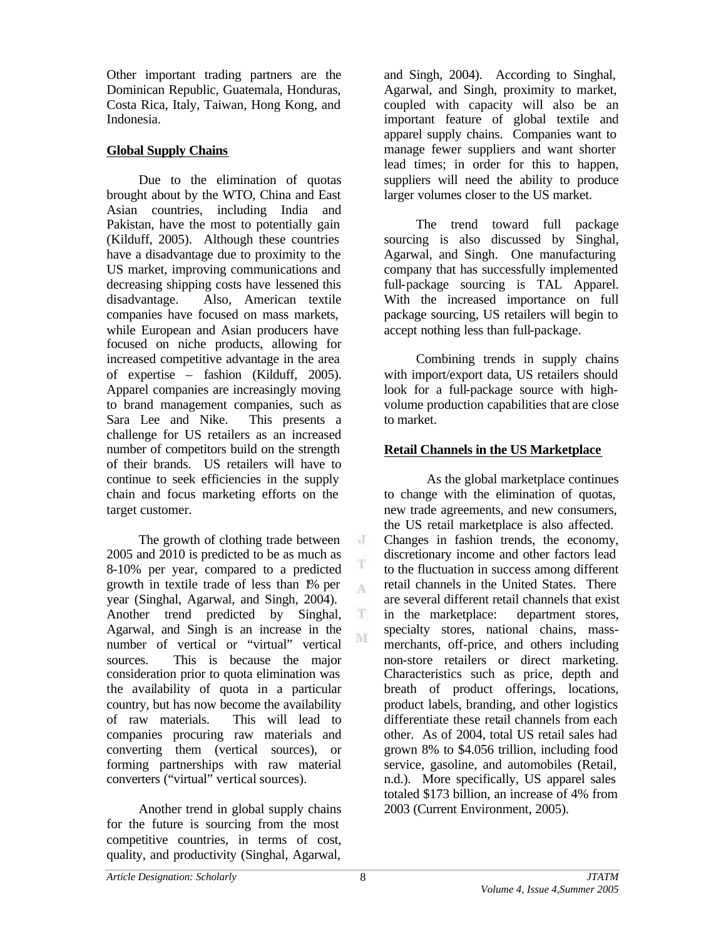Other important trading partners are the Dominican Republic, Guatemala, Honduras, Costa Rica, Italy, Taiwan, Hong Kong, and Indonesia.

## **Global Supply Chains**

Due to the elimination of quotas brought about by the WTO, China and East Asian countries, including India and Pakistan, have the most to potentially gain (Kilduff, 2005). Although these countries have a disadvantage due to proximity to the US market, improving communications and decreasing shipping costs have lessened this disadvantage. Also, American textile companies have focused on mass markets, while European and Asian producers have focused on niche products, allowing for increased competitive advantage in the area of expertise – fashion (Kilduff, 2005). Apparel companies are increasingly moving to brand management companies, such as Sara Lee and Nike. This presents a challenge for US retailers as an increased number of competitors build on the strength of their brands. US retailers will have to continue to seek efficiencies in the supply chain and focus marketing efforts on the target customer.

The growth of clothing trade between 2005 and 2010 is predicted to be as much as 8-10% per year, compared to a predicted growth in textile trade of less than 1% per year (Singhal, Agarwal, and Singh, 2004). Another trend predicted by Singhal, Agarwal, and Singh is an increase in the number of vertical or "virtual" vertical sources. This is because the major consideration prior to quota elimination was the availability of quota in a particular country, but has now become the availability of raw materials. This will lead to companies procuring raw materials and converting them (vertical sources), or forming partnerships with raw material converters ("virtual" vertical sources).

Another trend in global supply chains for the future is sourcing from the most competitive countries, in terms of cost, quality, and productivity (Singhal, Agarwal,

and Singh, 2004). According to Singhal, Agarwal, and Singh, proximity to market, coupled with capacity will also be an important feature of global textile and apparel supply chains. Companies want to manage fewer suppliers and want shorter lead times; in order for this to happen, suppliers will need the ability to produce larger volumes closer to the US market.

The trend toward full package sourcing is also discussed by Singhal, Agarwal, and Singh. One manufacturing company that has successfully implemented full-package sourcing is TAL Apparel. With the increased importance on full package sourcing, US retailers will begin to accept nothing less than full-package.

Combining trends in supply chains with import/export data, US retailers should look for a full-package source with highvolume production capabilities that are close to market.

## **Retail Channels in the US Marketplace**

As the global marketplace continues to change with the elimination of quotas, new trade agreements, and new consumers, the US retail marketplace is also affected. Changes in fashion trends, the economy, discretionary income and other factors lead to the fluctuation in success among different retail channels in the United States. There are several different retail channels that exist in the marketplace: department stores, specialty stores, national chains, massmerchants, off-price, and others including non-store retailers or direct marketing. Characteristics such as price, depth and breath of product offerings, locations, product labels, branding, and other logistics differentiate these retail channels from each other. As of 2004, total US retail sales had grown 8% to \$4.056 trillion, including food service, gasoline, and automobiles (Retail, n.d.). More specifically, US apparel sales totaled \$173 billion, an increase of 4% from 2003 (Current Environment, 2005).

J

T A

 $\mathbf T$ M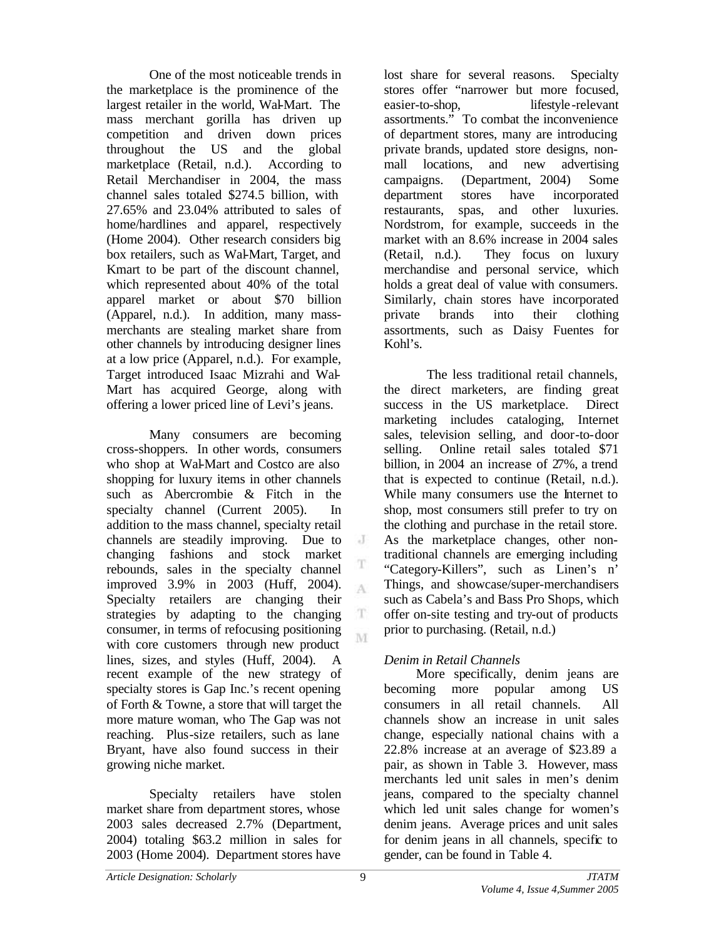One of the most noticeable trends in the marketplace is the prominence of the largest retailer in the world, Wal-Mart. The mass merchant gorilla has driven up competition and driven down prices throughout the US and the global marketplace (Retail, n.d.). According to Retail Merchandiser in 2004, the mass channel sales totaled \$274.5 billion, with 27.65% and 23.04% attributed to sales of home/hardlines and apparel, respectively (Home 2004). Other research considers big box retailers, such as Wal-Mart, Target, and Kmart to be part of the discount channel, which represented about 40% of the total apparel market or about \$70 billion (Apparel, n.d.). In addition, many massmerchants are stealing market share from other channels by introducing designer lines at a low price (Apparel, n.d.). For example, Target introduced Isaac Mizrahi and Wal-Mart has acquired George, along with offering a lower priced line of Levi's jeans.

Many consumers are becoming cross-shoppers. In other words, consumers who shop at Wal-Mart and Costco are also shopping for luxury items in other channels such as Abercrombie & Fitch in the specialty channel (Current 2005). In addition to the mass channel, specialty retail channels are steadily improving. Due to changing fashions and stock market rebounds, sales in the specialty channel improved 3.9% in 2003 (Huff, 2004). Specialty retailers are changing their strategies by adapting to the changing consumer, in terms of refocusing positioning with core customers through new product lines, sizes, and styles (Huff, 2004). A recent example of the new strategy of specialty stores is Gap Inc.'s recent opening of Forth & Towne, a store that will target the more mature woman, who The Gap was not reaching. Plus-size retailers, such as lane Bryant, have also found success in their growing niche market.

Specialty retailers have stolen market share from department stores, whose 2003 sales decreased 2.7% (Department, 2004) totaling \$63.2 million in sales for 2003 (Home 2004). Department stores have

lost share for several reasons. Specialty stores offer "narrower but more focused, easier-to-shop, lifestyle-relevant assortments." To combat the inconvenience of department stores, many are introducing private brands, updated store designs, nonmall locations, and new advertising campaigns. (Department, 2004) Some department stores have incorporated restaurants, spas, and other luxuries. Nordstrom, for example, succeeds in the market with an 8.6% increase in 2004 sales (Retail, n.d.). They focus on luxury merchandise and personal service, which holds a great deal of value with consumers. Similarly, chain stores have incorporated private brands into their clothing assortments, such as Daisy Fuentes for Kohl's.

The less traditional retail channels, the direct marketers, are finding great success in the US marketplace. Direct marketing includes cataloging, Internet sales, television selling, and door-to-door selling. Online retail sales totaled \$71 billion, in 2004 an increase of 27%, a trend that is expected to continue (Retail, n.d.). While many consumers use the Internet to shop, most consumers still prefer to try on the clothing and purchase in the retail store. As the marketplace changes, other nontraditional channels are emerging including "Category-Killers", such as Linen's n' Things, and showcase/super-merchandisers such as Cabela's and Bass Pro Shops, which offer on-site testing and try-out of products prior to purchasing. (Retail, n.d.)

# *Denim in Retail Channels*

More specifically, denim jeans are becoming more popular among US consumers in all retail channels. All channels show an increase in unit sales change, especially national chains with a 22.8% increase at an average of \$23.89 a pair, as shown in Table 3. However, mass merchants led unit sales in men's denim jeans, compared to the specialty channel which led unit sales change for women's denim jeans. Average prices and unit sales for denim jeans in all channels, specific to gender, can be found in Table 4.

 $\cdot$  J

T A

T M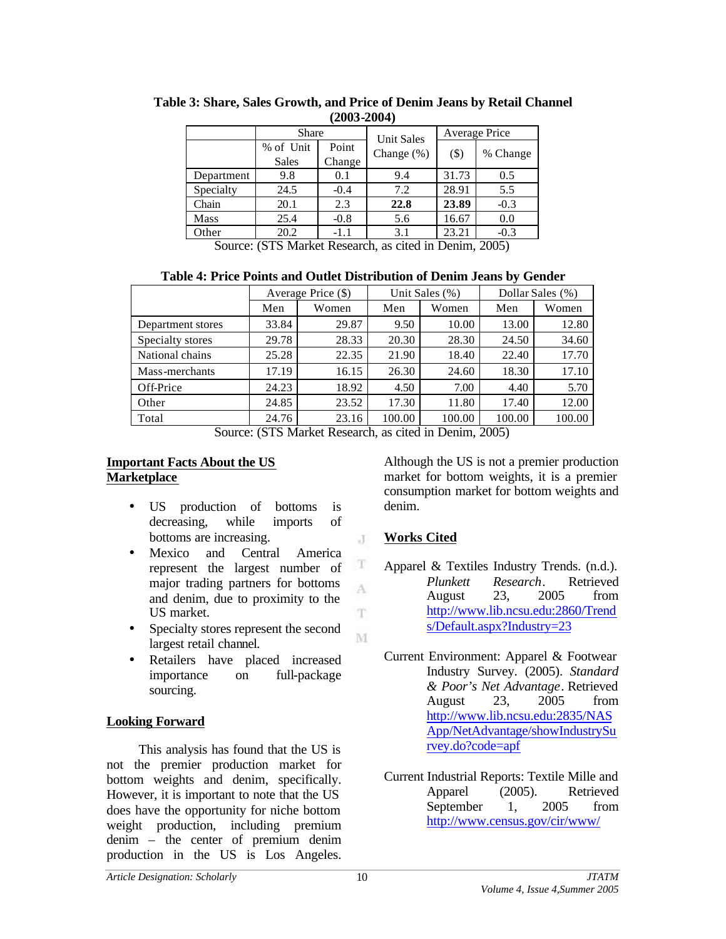|            | Share        |        | <b>Unit Sales</b> | Average Price |          |
|------------|--------------|--------|-------------------|---------------|----------|
|            | % of Unit    | Point  | Change $(\%)$     | $(\$)$        | % Change |
|            | <b>Sales</b> | Change |                   |               |          |
| Department | 9.8          | 0.1    | 9.4               | 31.73         | 0.5      |
| Specialty  | 24.5         | $-0.4$ | 7.2               | 28.91         | 5.5      |
| Chain      | 20.1         | 2.3    | 22.8              | 23.89         | $-0.3$   |
| Mass       | 25.4         | $-0.8$ | 5.6               | 16.67         | 0.0      |
| Other      | 20.2         | $-1.1$ | 3.1               | 23.21         | $-0.3$   |
|            |              |        |                   |               |          |

**Table 3: Share, Sales Growth, and Price of Denim Jeans by Retail Channel (2003-2004)**

Source: (STS Market Research, as cited in Denim, 2005)

**Table 4: Price Points and Outlet Distribution of Denim Jeans by Gender**

|                   | Average Price (\$) |       | Unit Sales (%) |                     | Dollar Sales (%) |        |
|-------------------|--------------------|-------|----------------|---------------------|------------------|--------|
|                   | Men                | Women | Men            | Women               | Men              | Women  |
| Department stores | 33.84              | 29.87 | 9.50           | 10.00               | 13.00            | 12.80  |
| Specialty stores  | 29.78              | 28.33 | 20.30          | 28.30               | 24.50            | 34.60  |
| National chains   | 25.28              | 22.35 | 21.90          | 18.40               | 22.40            | 17.70  |
| Mass-merchants    | 17.19              | 16.15 | 26.30          | 24.60               | 18.30            | 17.10  |
| Off-Price         | 24.23              | 18.92 | 4.50           | 7.00                | 4.40             | 5.70   |
| Other             | 24.85              | 23.52 | 17.30          | 11.80               | 17.40            | 12.00  |
| Total             | 24.76              | 23.16 | 100.00         | 100.00<br><u>. </u> | 100.00           | 100.00 |

Source: (STS Market Research, as cited in Denim, 2005)

 $\cdot$ T

T A T

M

## **Important Facts About the US Marketplace**

- US production of bottoms is decreasing, while imports of bottoms are increasing.
- Mexico and Central America represent the largest number of major trading partners for bottoms and denim, due to proximity to the US market.
- Specialty stores represent the second largest retail channel.
- Retailers have placed increased importance on full-package sourcing.

# **Looking Forward**

This analysis has found that the US is not the premier production market for bottom weights and denim, specifically. However, it is important to note that the US does have the opportunity for niche bottom weight production, including premium denim – the center of premium denim production in the US is Los Angeles.

Although the US is not a premier production market for bottom weights, it is a premier consumption market for bottom weights and denim.

# **Works Cited**

- Apparel & Textiles Industry Trends. (n.d.). *Plunkett Research*. Retrieved August 23, 2005 from http://www.lib.ncsu.edu:2860/Trend s/Default.aspx?Industry=23
- Current Environment: Apparel & Footwear Industry Survey. (2005). *Standard & Poor's Net Advantage*. Retrieved August 23, 2005 from http://www.lib.ncsu.edu:2835/NAS App/NetAdvantage/showIndustrySu rvey.do?code=apf
- Current Industrial Reports: Textile Mille and Apparel (2005). Retrieved September 1, 2005 from http://www.census.gov/cir/www/